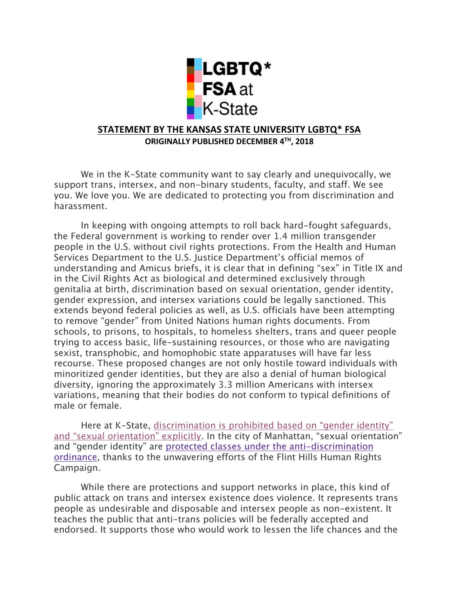

## **STATEMENT BY THE KANSAS STATE UNIVERSITY LGBTQ\* FSA ORIGINALLY PUBLISHED DECEMBER 4TH, 2018**

We in the K-State community want to say clearly and unequivocally, we support trans, intersex, and non-binary students, faculty, and staff. We see you. We love you. We are dedicated to protecting you from discrimination and harassment.

In keeping with ongoing attempts to roll back hard-fought safeguards, the Federal government is working to render over 1.4 million transgender people in the U.S. without civil rights protections. From the Health and Human Services Department to the U.S. Justice Department's official memos of understanding and Amicus briefs, it is clear that in defining "sex" in Title IX and in the Civil Rights Act as biological and determined exclusively through genitalia at birth, discrimination based on sexual orientation, gender identity, gender expression, and intersex variations could be legally sanctioned. This extends beyond federal policies as well, as U.S. officials have been attempting to remove "gender" from United Nations human rights documents. From schools, to prisons, to hospitals, to homeless shelters, trans and queer people trying to access basic, life-sustaining resources, or those who are navigating sexist, transphobic, and homophobic state apparatuses will have far less recourse. These proposed changes are not only hostile toward individuals with minoritized gender identities, but they are also a denial of human biological diversity, ignoring the approximately 3.3 million Americans with intersex variations, meaning that their bodies do not conform to typical definitions of male or female.

Here at K-State, discrimination is prohibited based on "gender identity" and "sexual orientation" explicitly. In the city of Manhattan, "sexual orientation" and "gender identity" are protected classes under the anti-discrimination ordinance, thanks to the unwavering efforts of the Flint Hills Human Rights Campaign.

While there are protections and support networks in place, this kind of public attack on trans and intersex existence does violence. It represents trans people as undesirable and disposable and intersex people as non-existent. It teaches the public that anti-trans policies will be federally accepted and endorsed. It supports those who would work to lessen the life chances and the